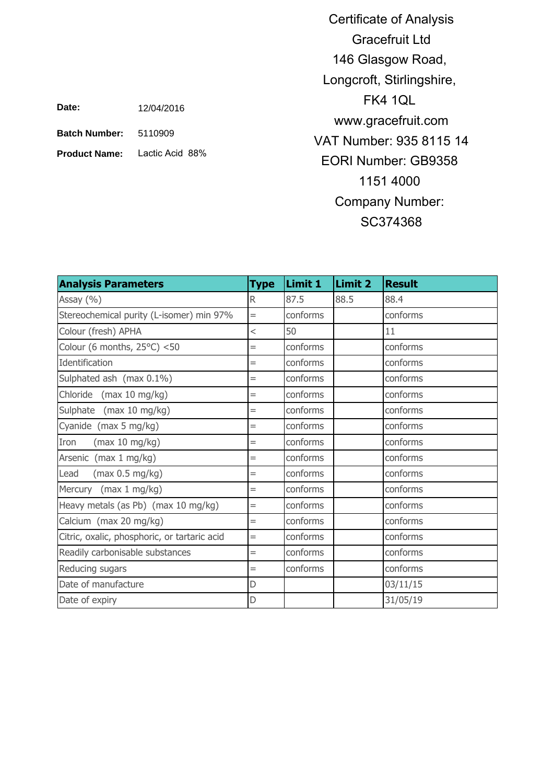5110909 **Batch Number:**

**Product Name:** Lactic Acid 88%

Certificate of Analysis Gracefruit Ltd 146 Glasgow Road, Longcroft, Stirlingshire, FK4 1QL www.gracefruit.com VAT Number: 935 8115 14 EORI Number: GB9358 1151 4000 Company Number: SC374368

| <b>Analysis Parameters</b>                   | <b>Type</b>              | Limit 1  | Limit 2 | <b>Result</b> |
|----------------------------------------------|--------------------------|----------|---------|---------------|
| Assay (%)                                    | R.                       | 87.5     | 88.5    | 88.4          |
| Stereochemical purity (L-isomer) min 97%     | $=$                      | conforms |         | conforms      |
| Colour (fresh) APHA                          | $\overline{\phantom{a}}$ | 50       |         | 11            |
| Colour (6 months, $25^{\circ}$ C) <50        | $=$                      | conforms |         | conforms      |
| Identification                               | $=$                      | conforms |         | conforms      |
| Sulphated ash (max 0.1%)                     | $=$                      | conforms |         | conforms      |
| Chloride (max 10 mg/kg)                      | $=$                      | conforms |         | conforms      |
| Sulphate (max 10 mg/kg)                      | $=$                      | conforms |         | conforms      |
| Cyanide (max 5 mg/kg)                        | $=$                      | conforms |         | conforms      |
| Iron<br>(max 10 mg/kg)                       | $=$                      | conforms |         | conforms      |
| Arsenic (max 1 mg/kg)                        | $=$                      | conforms |         | conforms      |
| (max 0.5 mg/kg)<br>Lead                      | $=$                      | conforms |         | conforms      |
| Mercury (max 1 mg/kg)                        | $=$                      | conforms |         | conforms      |
| Heavy metals (as Pb) (max 10 mg/kg)          | $=$                      | conforms |         | conforms      |
| Calcium (max 20 mg/kg)                       | $=$                      | conforms |         | conforms      |
| Citric, oxalic, phosphoric, or tartaric acid | $=$                      | conforms |         | conforms      |
| Readily carbonisable substances              | $=$                      | conforms |         | conforms      |
| Reducing sugars                              | $=$                      | conforms |         | conforms      |
| Date of manufacture                          | D                        |          |         | 03/11/15      |
| Date of expiry                               | D                        |          |         | 31/05/19      |